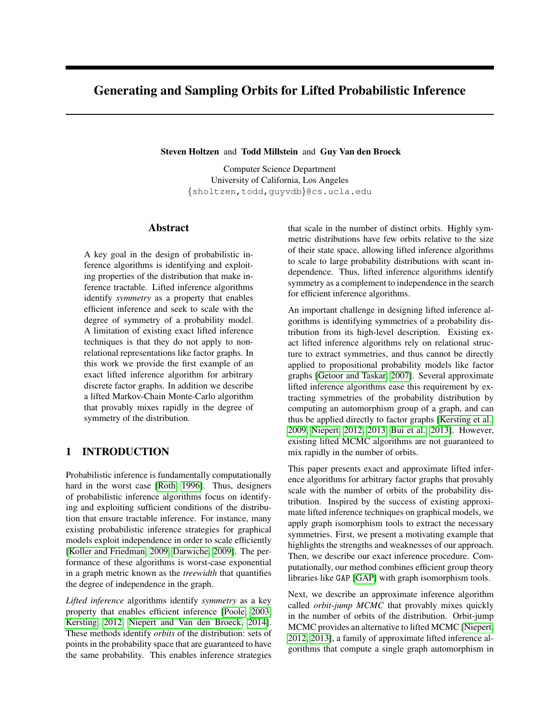# <span id="page-0-0"></span>Generating and Sampling Orbits for Lifted Probabilistic Inference

Steven Holtzen and Todd Millstein and Guy Van den Broeck

Computer Science Department University of California, Los Angeles {sholtzen,todd,guyvdb}@cs.ucla.edu

# Abstract

A key goal in the design of probabilistic inference algorithms is identifying and exploiting properties of the distribution that make inference tractable. Lifted inference algorithms identify *symmetry* as a property that enables efficient inference and seek to scale with the degree of symmetry of a probability model. A limitation of existing exact lifted inference techniques is that they do not apply to nonrelational representations like factor graphs. In this work we provide the first example of an exact lifted inference algorithm for arbitrary discrete factor graphs. In addition we describe a lifted Markov-Chain Monte-Carlo algorithm that provably mixes rapidly in the degree of symmetry of the distribution.

# 1 INTRODUCTION

Probabilistic inference is fundamentally computationally hard in the worst case [\[Roth, 1996\]](#page-9-0). Thus, designers of probabilistic inference algorithms focus on identifying and exploiting sufficient conditions of the distribution that ensure tractable inference. For instance, many existing probabilistic inference strategies for graphical models exploit independence in order to scale efficiently [\[Koller and Friedman, 2009,](#page-9-1) [Darwiche, 2009\]](#page-9-2). The performance of these algorithms is worst-case exponential in a graph metric known as the *treewidth* that quantifies the degree of independence in the graph.

*Lifted inference* algorithms identify *symmetry* as a key property that enables efficient inference [\[Poole, 2003,](#page-9-3) [Kersting, 2012,](#page-9-4) [Niepert and Van den Broeck, 2014\]](#page-9-5). These methods identify *orbits* of the distribution: sets of points in the probability space that are guaranteed to have the same probability. This enables inference strategies that scale in the number of distinct orbits. Highly symmetric distributions have few orbits relative to the size of their state space, allowing lifted inference algorithms to scale to large probability distributions with scant independence. Thus, lifted inference algorithms identify symmetry as a complement to independence in the search for efficient inference algorithms.

An important challenge in designing lifted inference algorithms is identifying symmetries of a probability distribution from its high-level description. Existing exact lifted inference algorithms rely on relational structure to extract symmetries, and thus cannot be directly applied to propositional probability models like factor graphs [\[Getoor and Taskar, 2007\]](#page-9-6). Several approximate lifted inference algorithms ease this requirement by extracting symmetries of the probability distribution by computing an automorphism group of a graph, and can thus be applied directly to factor graphs [\[Kersting et al.,](#page-9-7) [2009,](#page-9-7) [Niepert, 2012,](#page-9-8) [2013,](#page-9-9) [Bui et al., 2013\]](#page-9-10). However, existing lifted MCMC algorithms are not guaranteed to mix rapidly in the number of orbits.

This paper presents exact and approximate lifted inference algorithms for arbitrary factor graphs that provably scale with the number of orbits of the probability distribution. Inspired by the success of existing approximate lifted inference techniques on graphical models, we apply graph isomorphism tools to extract the necessary symmetries. First, we present a motivating example that highlights the strengths and weaknesses of our approach. Then, we describe our exact inference procedure. Computationally, our method combines efficient group theory libraries like GAP [\[GAP\]](#page-9-11) with graph isomorphism tools.

Next, we describe an approximate inference algorithm called *orbit-jump MCMC* that provably mixes quickly in the number of orbits of the distribution. Orbit-jump MCMC provides an alternative to lifted MCMC [\[Niepert,](#page-9-8) [2012,](#page-9-8) [2013\]](#page-9-9), a family of approximate lifted inference algorithms that compute a single graph automorphism in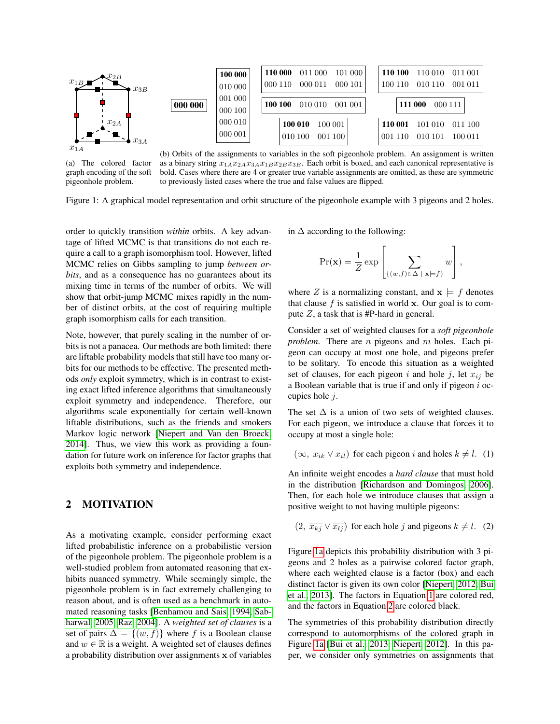<span id="page-1-0"></span>

(a) The colored factor graph encoding of the soft pigeonhole problem.

(b) Orbits of the assignments to variables in the soft pigeonhole problem. An assignment is written as a binary string  $x_{1A}x_{2A}x_{3A}x_{1B}x_{2B}x_{3B}$ . Each orbit is boxed, and each canonical representative is bold. Cases where there are 4 or greater true variable assignments are omitted, as these are symmetric to previously listed cases where the true and false values are flipped.

Figure 1: A graphical model representation and orbit structure of the pigeonhole example with 3 pigeons and 2 holes.

order to quickly transition *within* orbits. A key advantage of lifted MCMC is that transitions do not each require a call to a graph isomorphism tool. However, lifted MCMC relies on Gibbs sampling to jump *between orbits*, and as a consequence has no guarantees about its mixing time in terms of the number of orbits. We will show that orbit-jump MCMC mixes rapidly in the number of distinct orbits, at the cost of requiring multiple graph isomorphism calls for each transition.

Note, however, that purely scaling in the number of orbits is not a panacea. Our methods are both limited: there are liftable probability models that still have too many orbits for our methods to be effective. The presented methods *only* exploit symmetry, which is in contrast to existing exact lifted inference algorithms that simultaneously exploit symmetry and independence. Therefore, our algorithms scale exponentially for certain well-known liftable distributions, such as the friends and smokers Markov logic network [\[Niepert and Van den Broeck,](#page-9-5) [2014\]](#page-9-5). Thus, we view this work as providing a foundation for future work on inference for factor graphs that exploits both symmetry and independence.

# <span id="page-1-3"></span>2 MOTIVATION

As a motivating example, consider performing exact lifted probabilistic inference on a probabilistic version of the pigeonhole problem. The pigeonhole problem is a well-studied problem from automated reasoning that exhibits nuanced symmetry. While seemingly simple, the pigeonhole problem is in fact extremely challenging to reason about, and is often used as a benchmark in automated reasoning tasks [\[Benhamou and Sais, 1994,](#page-9-12) [Sab](#page-9-13)[harwal, 2005,](#page-9-13) [Raz, 2004\]](#page-9-14). A *weighted set of clauses* is a set of pairs  $\Delta = \{(w, f)\}\$  where f is a Boolean clause and  $w \in \mathbb{R}$  is a weight. A weighted set of clauses defines a probability distribution over assignments x of variables in  $\Delta$  according to the following:

$$
\Pr(\mathbf{x}) = \frac{1}{Z} \exp \left[ \sum_{\{(w,f)\in \Delta \mid \mathbf{x}\models f\}} w \right],
$$

where Z is a normalizing constant, and  $x \models f$  denotes that clause  $f$  is satisfied in world x. Our goal is to compute  $Z$ , a task that is #P-hard in general.

Consider a set of weighted clauses for a *soft pigeonhole problem*. There are *n* pigeons and *m* holes. Each pigeon can occupy at most one hole, and pigeons prefer to be solitary. To encode this situation as a weighted set of clauses, for each pigeon i and hole j, let  $x_{ij}$  be a Boolean variable that is true if and only if pigeon  $i$  occupies hole  $i$ .

The set  $\Delta$  is a union of two sets of weighted clauses. For each pigeon, we introduce a clause that forces it to occupy at most a single hole:

<span id="page-1-1"></span> $(\infty, \overline{x_{ik}} \vee \overline{x_{il}})$  for each pigeon *i* and holes  $k \neq l$ . (1)

An infinite weight encodes a *hard clause* that must hold in the distribution [\[Richardson and Domingos, 2006\]](#page-9-15). Then, for each hole we introduce clauses that assign a positive weight to not having multiple pigeons:

<span id="page-1-2"></span> $(2, \overline{x_{kj}} \vee \overline{x_{lj}})$  for each hole j and pigeons  $k \neq l$ . (2)

Figure [1a](#page-1-0) depicts this probability distribution with 3 pigeons and 2 holes as a pairwise colored factor graph, where each weighted clause is a factor (box) and each distinct factor is given its own color [\[Niepert, 2012,](#page-9-8) [Bui](#page-9-10) [et al., 2013\]](#page-9-10). The factors in Equation [1](#page-1-1) are colored red, and the factors in Equation [2](#page-1-2) are colored black.

The symmetries of this probability distribution directly correspond to automorphisms of the colored graph in Figure [1a](#page-1-0) [\[Bui et al., 2013,](#page-9-10) [Niepert, 2012\]](#page-9-8). In this paper, we consider only symmetries on assignments that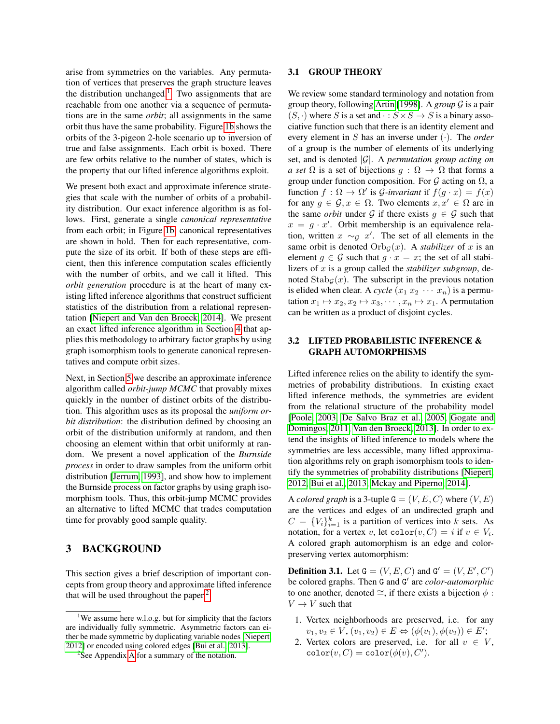arise from symmetries on the variables. Any permutation of vertices that preserves the graph structure leaves the distribution unchanged.<sup>[1](#page-2-0)</sup> Two assignments that are reachable from one another via a sequence of permutations are in the same *orbit*; all assignments in the same orbit thus have the same probability. Figure [1b](#page-1-0) shows the orbits of the 3-pigeon 2-hole scenario up to inversion of true and false assignments. Each orbit is boxed. There are few orbits relative to the number of states, which is the property that our lifted inference algorithms exploit.

We present both exact and approximate inference strategies that scale with the number of orbits of a probability distribution. Our exact inference algorithm is as follows. First, generate a single *canonical representative* from each orbit; in Figure [1b,](#page-1-0) canonical representatives are shown in bold. Then for each representative, compute the size of its orbit. If both of these steps are efficient, then this inference computation scales efficiently with the number of orbits, and we call it lifted. This *orbit generation* procedure is at the heart of many existing lifted inference algorithms that construct sufficient statistics of the distribution from a relational representation [\[Niepert and Van den Broeck, 2014\]](#page-9-5). We present an exact lifted inference algorithm in Section [4](#page-3-0) that applies this methodology to arbitrary factor graphs by using graph isomorphism tools to generate canonical representatives and compute orbit sizes.

Next, in Section [5](#page-6-0) we describe an approximate inference algorithm called *orbit-jump MCMC* that provably mixes quickly in the number of distinct orbits of the distribution. This algorithm uses as its proposal the *uniform orbit distribution*: the distribution defined by choosing an orbit of the distribution uniformly at random, and then choosing an element within that orbit uniformly at random. We present a novel application of the *Burnside process* in order to draw samples from the uniform orbit distribution [\[Jerrum, 1993\]](#page-9-16), and show how to implement the Burnside process on factor graphs by using graph isomorphism tools. Thus, this orbit-jump MCMC provides an alternative to lifted MCMC that trades computation time for provably good sample quality.

# 3 BACKGROUND

This section gives a brief description of important concepts from group theory and approximate lifted inference that will be used throughout the paper. $<sup>2</sup>$  $<sup>2</sup>$  $<sup>2</sup>$ </sup>

#### 3.1 GROUP THEORY

We review some standard terminology and notation from group theory, following [Artin](#page-9-17) [\[1998\]](#page-9-17). A *group* G is a pair  $(S, \cdot)$  where S is a set and  $\cdot : S \times S \rightarrow S$  is a binary associative function such that there is an identity element and every element in S has an inverse under (·). The *order* of a group is the number of elements of its underlying set, and is denoted |G|. A *permutation group acting on a set*  $\Omega$  is a set of bijections  $g : \Omega \to \Omega$  that forms a group under function composition. For  $G$  acting on  $\Omega$ , a function  $f : \Omega \to \Omega'$  is *G*-invariant if  $f(g \cdot x) = f(x)$ for any  $g \in \mathcal{G}, x \in \Omega$ . Two elements  $x, x' \in \Omega$  are in the same *orbit* under G if there exists  $g \in \mathcal{G}$  such that  $x = g \cdot x'$ . Orbit membership is an equivalence relation, written  $x \sim_{\mathcal{G}} x'$ . The set of all elements in the same orbit is denoted  $Orb_G(x)$ . A *stabilizer* of x is an element  $q \in \mathcal{G}$  such that  $q \cdot x = x$ ; the set of all stabilizers of x is a group called the *stabilizer subgroup*, denoted  $\text{Stab}_{\mathcal{G}}(x)$ . The subscript in the previous notation is elided when clear. A *cycle*  $(x_1 x_2 \cdots x_n)$  is a permutation  $x_1 \mapsto x_2, x_2 \mapsto x_3, \dots, x_n \mapsto x_1$ . A permutation can be written as a product of disjoint cycles.

### 3.2 LIFTED PROBABILISTIC INFERENCE & GRAPH AUTOMORPHISMS

Lifted inference relies on the ability to identify the symmetries of probability distributions. In existing exact lifted inference methods, the symmetries are evident from the relational structure of the probability model [\[Poole, 2003,](#page-9-3) [De Salvo Braz et al., 2005,](#page-9-18) [Gogate and](#page-9-19) [Domingos, 2011,](#page-9-19) [Van den Broeck, 2013\]](#page-9-20). In order to extend the insights of lifted inference to models where the symmetries are less accessible, many lifted approximation algorithms rely on graph isomorphism tools to identify the symmetries of probability distributions [\[Niepert,](#page-9-8) [2012,](#page-9-8) [Bui et al., 2013,](#page-9-10) [Mckay and Piperno, 2014\]](#page-9-21).

A *colored graph* is a 3-tuple  $G = (V, E, C)$  where  $(V, E)$ are the vertices and edges of an undirected graph and  $C = \{V_i\}_{i=1}^k$  is a partition of vertices into k sets. As notation, for a vertex v, let  $\text{color}(v, C) = i$  if  $v \in V_i$ . A colored graph automorphism is an edge and colorpreserving vertex automorphism:

**Definition 3.1.** Let  $G = (V, E, C)$  and  $G' = (V, E', C')$ be colored graphs. Then G and G' are *color-automorphic* to one another, denoted  $\cong$ , if there exists a bijection  $\phi$ :  $V \rightarrow V$  such that

- 1. Vertex neighborhoods are preserved, i.e. for any  $v_1, v_2 \in V, (v_1, v_2) \in E \Leftrightarrow (\phi(v_1), \phi(v_2)) \in E';$
- 2. Vertex colors are preserved, i.e. for all  $v \in V$ ,  $\text{color}(v, C) = \text{color}(\phi(v), C').$

<span id="page-2-0"></span><sup>&</sup>lt;sup>1</sup>We assume here w.l.o.g. but for simplicity that the factors are individually fully symmetric. Asymmetric factors can either be made symmetric by duplicating variable nodes [\[Niepert,](#page-9-8) [2012\]](#page-9-8) or encoded using colored edges [\[Bui et al., 2013\]](#page-9-10).

<span id="page-2-1"></span><sup>&</sup>lt;sup>2</sup>See [A](#page-0-0)ppendix A for a summary of the notation.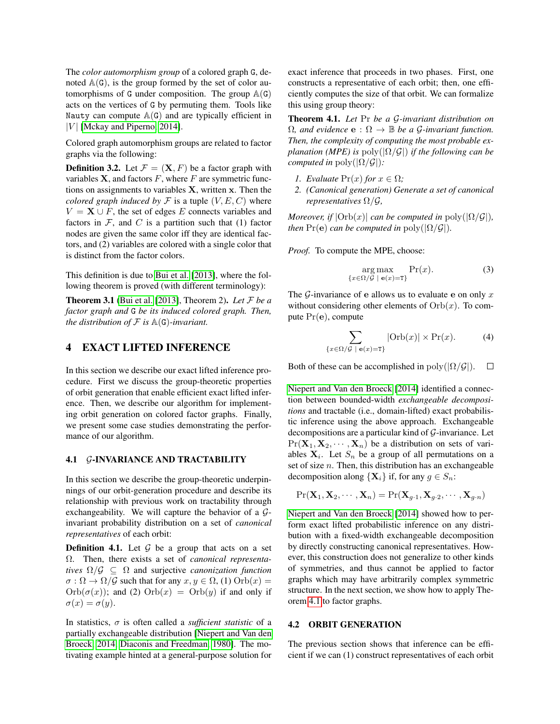The *color automorphism group* of a colored graph G, denoted  $A(G)$ , is the group formed by the set of color automorphisms of G under composition. The group  $\mathbb{A}(G)$ acts on the vertices of G by permuting them. Tools like Nauty can compute  $A(G)$  and are typically efficient in | $V$ | [\[Mckay and Piperno, 2014\]](#page-9-21).

Colored graph automorphism groups are related to factor graphs via the following:

**Definition 3.2.** Let  $\mathcal{F} = (\mathbf{X}, F)$  be a factor graph with variables  $X$ , and factors  $F$ , where  $F$  are symmetric functions on assignments to variables  $X$ , written  $x$ . Then the *colored graph induced by*  $\mathcal F$  is a tuple  $(V, E, C)$  where  $V = \mathbf{X} \cup F$ , the set of edges E connects variables and factors in  $F$ , and  $C$  is a partition such that (1) factor nodes are given the same color iff they are identical factors, and (2) variables are colored with a single color that is distinct from the factor colors.

This definition is due to [Bui et al.](#page-9-10) [\[2013\]](#page-9-10), where the following theorem is proved (with different terminology):

Theorem 3.1 [\(Bui et al.](#page-9-10) [\[2013\]](#page-9-10), Theorem 2). *Let* F *be a factor graph and* G *be its induced colored graph. Then, the distribution of*  $F$  *is*  $\mathbb{A}(G)$ *-invariant.* 

# <span id="page-3-0"></span>4 EXACT LIFTED INFERENCE

In this section we describe our exact lifted inference procedure. First we discuss the group-theoretic properties of orbit generation that enable efficient exact lifted inference. Then, we describe our algorithm for implementing orbit generation on colored factor graphs. Finally, we present some case studies demonstrating the performance of our algorithm.

#### 4.1 G-INVARIANCE AND TRACTABILITY

In this section we describe the group-theoretic underpinnings of our orbit-generation procedure and describe its relationship with previous work on tractability through exchangeability. We will capture the behavior of a  $G$ invariant probability distribution on a set of *canonical representatives* of each orbit:

**Definition 4.1.** Let  $G$  be a group that acts on a set Ω. Then, there exists a set of *canonical representatives*  $\Omega/\mathcal{G} \subseteq \Omega$  and surjective *canonization function*  $\sigma : \Omega \to \Omega/\mathcal{G}$  such that for any  $x, y \in \Omega$ , (1)  $\text{Orb}(x) =$  $Orb(\sigma(x))$ ; and (2)  $Orb(x) = Orb(y)$  if and only if  $\sigma(x) = \sigma(y).$ 

In statistics,  $\sigma$  is often called a *sufficient statistic* of a partially exchangeable distribution [\[Niepert and Van den](#page-9-5) [Broeck, 2014,](#page-9-5) [Diaconis and Freedman, 1980\]](#page-9-22). The motivating example hinted at a general-purpose solution for exact inference that proceeds in two phases. First, one constructs a representative of each orbit; then, one efficiently computes the size of that orbit. We can formalize this using group theory:

Theorem 4.1. *Let* Pr *be a* G*-invariant distribution on*  $\Omega$ *, and evidence*  $\mathbf{e}: \Omega \to \mathbb{B}$  *be a G-invariant function. Then, the complexity of computing the most probable explanation (MPE) is*  $poly(|\Omega/\mathcal{G}|)$  *if the following can be computed in* poly $(|\Omega/\mathcal{G}|)$ :

- *1. Evaluate*  $Pr(x)$  *for*  $x \in \Omega$ *;*
- <span id="page-3-1"></span>*2. (Canonical generation) Generate a set of canonical representatives* Ω/G*,*

*Moreover, if*  $|\text{Orb}(x)|$  *can be computed in* poly $(|\Omega/\mathcal{G}|)$ *, then*  $Pr(e)$  *can be computed in*  $poly(|\Omega/\mathcal{G}|)$ *.* 

*Proof.* To compute the MPE, choose:

$$
\underset{\{x \in \Omega/\mathcal{G} \mid \mathbf{e}(x) = \mathbf{T}\}}{\arg \max} \Pr(x). \tag{3}
$$

The  $G$ -invariance of e allows us to evaluate e on only x without considering other elements of  $Orb(x)$ . To compute Pr(e), compute

$$
\sum_{\{x \in \Omega/\mathcal{G} \mid \mathbf{e}(x) = \mathbf{T}\}} |\text{Orb}(x)| \times \text{Pr}(x). \tag{4}
$$

Both of these can be accomplished in  $\text{poly}(|\Omega/\mathcal{G}|)$ .  $\Box$ 

[Niepert and Van den Broeck](#page-9-5) [\[2014\]](#page-9-5) identified a connection between bounded-width *exchangeable decompositions* and tractable (i.e., domain-lifted) exact probabilistic inference using the above approach. Exchangeable decompositions are a particular kind of  $G$ -invariance. Let  $Pr(X_1, X_2, \dots, X_n)$  be a distribution on sets of variables  $X_i$ . Let  $S_n$  be a group of all permutations on a set of size  $n$ . Then, this distribution has an exchangeable decomposition along  $\{X_i\}$  if, for any  $g \in S_n$ :

$$
Pr(\mathbf{X}_1, \mathbf{X}_2, \cdots, \mathbf{X}_n) = Pr(\mathbf{X}_{g\cdot 1}, \mathbf{X}_{g\cdot 2}, \cdots, \mathbf{X}_{g\cdot n})
$$

[Niepert and Van den Broeck](#page-9-5) [\[2014\]](#page-9-5) showed how to perform exact lifted probabilistic inference on any distribution with a fixed-width exchangeable decomposition by directly constructing canonical representatives. However, this construction does not generalize to other kinds of symmetries, and thus cannot be applied to factor graphs which may have arbitrarily complex symmetric structure. In the next section, we show how to apply Theorem [4.1](#page-3-1) to factor graphs.

### 4.2 ORBIT GENERATION

The previous section shows that inference can be efficient if we can (1) construct representatives of each orbit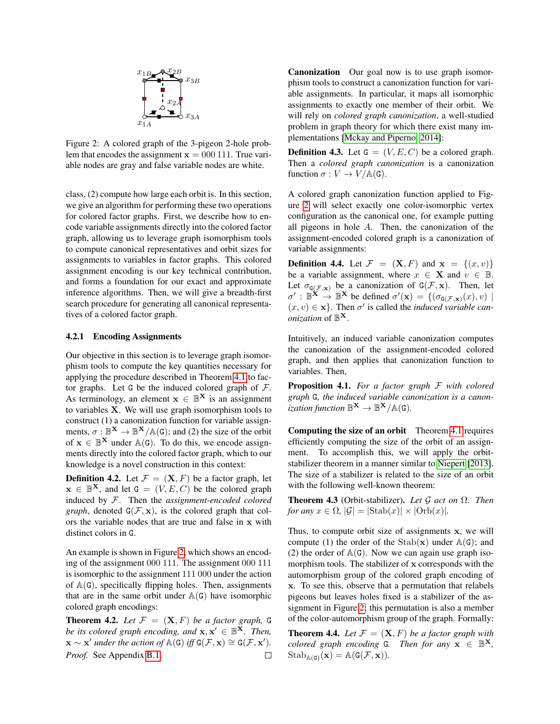<span id="page-4-0"></span>

Figure 2: A colored graph of the 3-pigeon 2-hole problem that encodes the assignment  $x = 000 111$ . True variable nodes are gray and false variable nodes are white.

class, (2) compute how large each orbit is. In this section, we give an algorithm for performing these two operations for colored factor graphs. First, we describe how to encode variable assignments directly into the colored factor graph, allowing us to leverage graph isomorphism tools to compute canonical representatives and orbit sizes for assignments to variables in factor graphs. This colored assignment encoding is our key technical contribution, and forms a foundation for our exact and approximate inference algorithms. Then, we will give a breadth-first search procedure for generating all canonical representatives of a colored factor graph.

### <span id="page-4-1"></span>4.2.1 Encoding Assignments

Our objective in this section is to leverage graph isomorphism tools to compute the key quantities necessary for applying the procedure described in Theorem [4.1](#page-3-1) to factor graphs. Let G be the induced colored graph of  $F$ . As terminology, an element  $x \in \mathbb{B}^{\mathbf{X}}$  is an assignment to variables X. We will use graph isomorphism tools to construct (1) a canonization function for variable assignments,  $\sigma : \mathbb{B}^{\mathbf{X}} \to \mathbb{B}^{\mathbf{X}}/\mathbb{A}(\mathsf{G})$ ; and (2) the size of the orbit of  $x \in \mathbb{B}^{X}$  under  $\mathbb{A}(G)$ . To do this, we encode assignments directly into the colored factor graph, which to our knowledge is a novel construction in this context:

**Definition 4.2.** Let  $\mathcal{F} = (\mathbf{X}, F)$  be a factor graph, let  $\mathbf{x} \in \mathbb{B}^{\mathbf{X}}$ , and let  $\mathbf{G} = (V, E, C)$  be the colored graph induced by F. Then the *assignment-encoded colored graph*, denoted  $G(\mathcal{F}, \mathbf{x})$ , is the colored graph that colors the variable nodes that are true and false in x with distinct colors in G.

An example is shown in Figure [2,](#page-4-0) which shows an encoding of the assignment 000 111. The assignment 000 111 is isomorphic to the assignment 111 000 under the action of  $A(G)$ , specifically flipping holes. Then, assignments that are in the same orbit under  $A(G)$  have isomorphic colored graph encodings:

**Theorem 4.2.** Let  $\mathcal{F} = (\mathbf{X}, F)$  be a factor graph, G *be its colored graph encoding, and*  $\mathbf{x}, \mathbf{x}' \in \mathbb{B}^{\mathbf{X}}$ *. Then,*  $\mathbf{x} \sim \mathbf{x}'$  under the action of  $\mathbb{A}(\mathsf{G})$  iff  $\mathsf{G}(\mathcal{F}, \mathbf{x}) \cong \mathsf{G}(\mathcal{F}, \mathbf{x}').$ *Proof.* See Appendix [B.1.](#page-0-0)  $\Box$  Canonization Our goal now is to use graph isomorphism tools to construct a canonization function for variable assignments. In particular, it maps all isomorphic assignments to exactly one member of their orbit. We will rely on *colored graph canonization*, a well-studied problem in graph theory for which there exist many implementations [\[Mckay and Piperno, 2014\]](#page-9-21):

**Definition 4.3.** Let  $G = (V, E, C)$  be a colored graph. Then a *colored graph canonization* is a canonization function  $\sigma: V \to V/\mathbb{A}(\mathsf{G})$ .

A colored graph canonization function applied to Figure [2](#page-4-0) will select exactly one color-isomorphic vertex configuration as the canonical one, for example putting all pigeons in hole A. Then, the canonization of the assignment-encoded colored graph is a canonization of variable assignments:

**Definition 4.4.** Let  $\mathcal{F} = (\mathbf{X}, F)$  and  $\mathbf{x} = \{(x, v)\}\$ be a variable assignment, where  $x \in \mathbf{X}$  and  $v \in \mathbb{B}$ . Let  $\sigma_{G(\mathcal{F}, \mathbf{x})}$  be a canonization of  $G(\mathcal{F}, \mathbf{x})$ . Then, let  $\sigma' : \mathbb{B}^{\mathbf{X}} \to \mathbb{B}^{\mathbf{X}}$  be defined  $\sigma'(\mathbf{x}) = \{(\sigma_{\mathsf{G}(\mathcal{F}, \mathbf{x})}(x), v) \mid \sigma'(\mathbf{x}) \leq \sigma'(\mathbf{x})\}$  $(x, v) \in \mathbf{x}$ . Then  $\sigma'$  is called the *induced variable canonization* of B X.

Intuitively, an induced variable canonization computes the canonization of the assignment-encoded colored graph, and then applies that canonization function to variables. Then,

Proposition 4.1. *For a factor graph* F *with colored graph* G*, the induced variable canonization is a canonization function*  $\mathbb{B}^{\mathbf{X}} \to \mathbb{B}^{\mathbf{X}}/\mathbb{A}(\mathsf{G})$ .

Computing the size of an orbit Theorem [4.1](#page-3-1) requires efficiently computing the size of the orbit of an assignment. To accomplish this, we will apply the orbitstabilizer theorem in a manner similar to [Niepert](#page-9-9) [\[2013\]](#page-9-9). The size of a stabilizer is related to the size of an orbit with the following well-known theorem:

Theorem 4.3 (Orbit-stabilizer). *Let* G *act on* Ω*. Then for any*  $x \in \Omega$ ,  $|\mathcal{G}| = |\text{Stab}(x)| \times |\text{Orb}(x)|$ .

Thus, to compute orbit size of assignments x, we will compute (1) the order of the  $Stab(x)$  under  $A(G)$ ; and (2) the order of  $A(G)$ . Now we can again use graph isomorphism tools. The stabilizer of x corresponds with the automorphism group of the colored graph encoding of x. To see this, observe that a permutation that relabels pigeons but leaves holes fixed is a stabilizer of the assignment in Figure [2;](#page-4-0) this permutation is also a member of the color-automorphism group of the graph. Formally:

**Theorem 4.4.** Let  $\mathcal{F} = (\mathbf{X}, F)$  be a factor graph with *colored graph encoding* G. Then for any  $\mathbf{x} \in \mathbb{B}^{\mathbf{X}}$ ,  $\mathrm{Stab}_{\mathbb{A}(\mathsf{G})}(\mathbf{x}) = \mathbb{A}(\mathsf{G}(\mathcal{F}, \mathbf{x})).$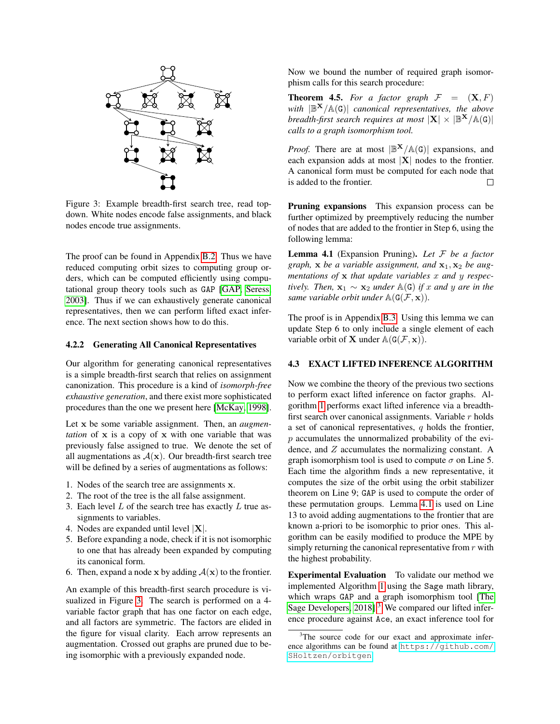<span id="page-5-0"></span>

Figure 3: Example breadth-first search tree, read topdown. White nodes encode false assignments, and black nodes encode true assignments.

The proof can be found in Appendix [B.2.](#page-0-0) Thus we have reduced computing orbit sizes to computing group orders, which can be computed efficiently using computational group theory tools such as GAP [\[GAP,](#page-9-11) [Seress,](#page-9-23) [2003\]](#page-9-23). Thus if we can exhaustively generate canonical representatives, then we can perform lifted exact inference. The next section shows how to do this.

#### 4.2.2 Generating All Canonical Representatives

Our algorithm for generating canonical representatives is a simple breadth-first search that relies on assignment canonization. This procedure is a kind of *isomorph-free exhaustive generation*, and there exist more sophisticated procedures than the one we present here [\[McKay, 1998\]](#page-9-24).

Let x be some variable assignment. Then, an *augmentation* of x is a copy of x with one variable that was previously false assigned to true. We denote the set of all augmentations as  $A(x)$ . Our breadth-first search tree will be defined by a series of augmentations as follows:

- 1. Nodes of the search tree are assignments x.
- 2. The root of the tree is the all false assignment.
- 3. Each level  $L$  of the search tree has exactly  $L$  true assignments to variables.
- 4. Nodes are expanded until level  $|X|$ .
- 5. Before expanding a node, check if it is not isomorphic to one that has already been expanded by computing its canonical form.
- 6. Then, expand a node x by adding  $A(x)$  to the frontier.

An example of this breadth-first search procedure is visualized in Figure [3.](#page-5-0) The search is performed on a 4 variable factor graph that has one factor on each edge, and all factors are symmetric. The factors are elided in the figure for visual clarity. Each arrow represents an augmentation. Crossed out graphs are pruned due to being isomorphic with a previously expanded node.

Now we bound the number of required graph isomorphism calls for this search procedure:

**Theorem 4.5.** For a factor graph  $F = (\mathbf{X}, F)$ *with* |B <sup>X</sup>/A(G)| *canonical representatives, the above breadth-first search requires at most*  $|X| \times |\mathbb{B}^X/\mathbb{A}(G)|$ *calls to a graph isomorphism tool.*

*Proof.* There are at most  $|\mathbb{B}^{X}/\mathbb{A}(G)|$  expansions, and each expansion adds at most  $|\mathbf{X}|$  nodes to the frontier. A canonical form must be computed for each node that is added to the frontier.  $\Box$ 

Pruning expansions This expansion process can be further optimized by preemptively reducing the number of nodes that are added to the frontier in Step 6, using the following lemma:

<span id="page-5-1"></span>Lemma 4.1 (Expansion Pruning). *Let* F *be a factor graph,*  $x$  *be a variable assignment, and*  $x_1$ ,  $x_2$  *be augmentations of* x *that update variables* x *and* y *respectively. Then,*  $\mathbf{x}_1 \sim \mathbf{x}_2$  *under*  $\mathbb{A}(G)$  *if* x *and* y are *in the same variable orbit under*  $\mathbb{A}(G(\mathcal{F}, \mathbf{x}))$ *.* 

The proof is in Appendix [B.3.](#page-0-0) Using this lemma we can update Step 6 to only include a single element of each variable orbit of **X** under  $\mathbb{A}(G(\mathcal{F}, \mathbf{x}))$ .

#### 4.3 EXACT LIFTED INFERENCE ALGORITHM

Now we combine the theory of the previous two sections to perform exact lifted inference on factor graphs. Algorithm [1](#page-6-1) performs exact lifted inference via a breadthfirst search over canonical assignments. Variable  $r$  holds a set of canonical representatives,  $q$  holds the frontier, p accumulates the unnormalized probability of the evidence, and Z accumulates the normalizing constant. A graph isomorphism tool is used to compute  $\sigma$  on Line 5. Each time the algorithm finds a new representative, it computes the size of the orbit using the orbit stabilizer theorem on Line 9; GAP is used to compute the order of these permutation groups. Lemma [4.1](#page-5-1) is used on Line 13 to avoid adding augmentations to the frontier that are known a-priori to be isomorphic to prior ones. This algorithm can be easily modified to produce the MPE by simply returning the canonical representative from  $r$  with the highest probability.

Experimental Evaluation To validate our method we implemented Algorithm [1](#page-6-1) using the Sage math library, which wraps GAP and a graph isomorphism tool [\[The](#page-9-25) [Sage Developers, 2018\]](#page-9-25).<sup>[3](#page-5-2)</sup> We compared our lifted inference procedure against Ace, an exact inference tool for

<span id="page-5-2"></span><sup>&</sup>lt;sup>3</sup>The source code for our exact and approximate inference algorithms can be found at [https://github.com/](https://github.com/SHoltzen/orbitgen) [SHoltzen/orbitgen](https://github.com/SHoltzen/orbitgen).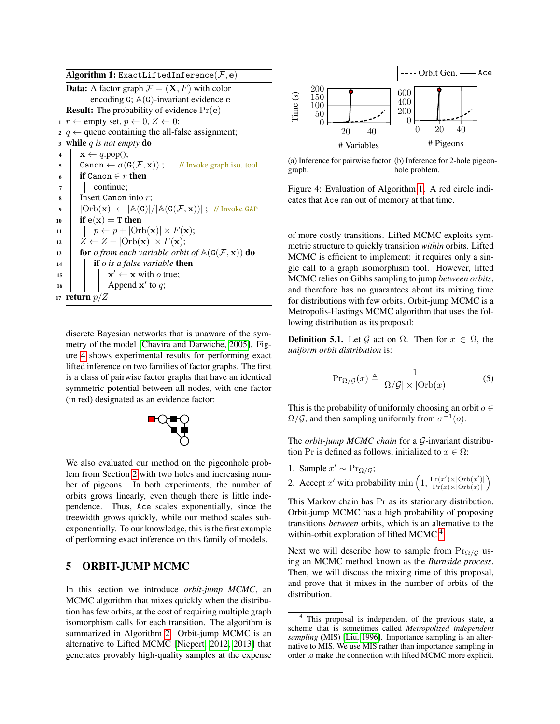|                         | <b>Algorithm 1:</b> ExactLiftedInference( $\mathcal{F}, \mathbf{e}$ )                                                           |  |  |  |  |  |  |
|-------------------------|---------------------------------------------------------------------------------------------------------------------------------|--|--|--|--|--|--|
|                         | <b>Data:</b> A factor graph $\mathcal{F} = (\mathbf{X}, F)$ with color                                                          |  |  |  |  |  |  |
|                         | encoding $G$ ; $\mathbb{A}(G)$ -invariant evidence $e$                                                                          |  |  |  |  |  |  |
|                         | <b>Result:</b> The probability of evidence $Pr(e)$                                                                              |  |  |  |  |  |  |
|                         | $r \leftarrow$ empty set, $p \leftarrow 0, Z \leftarrow 0;$                                                                     |  |  |  |  |  |  |
|                         | 2 $q \leftarrow$ queue containing the all-false assignment;                                                                     |  |  |  |  |  |  |
| $\overline{\mathbf{3}}$ | while q is not empty do                                                                                                         |  |  |  |  |  |  |
| $\overline{\mathbf{4}}$ | $\mathbf{x} \leftarrow q.\text{pop}();$                                                                                         |  |  |  |  |  |  |
| 5                       | Canon $\leftarrow \sigma(G(\mathcal{F}, \mathbf{x}))$ ; // Invoke graph iso. tool                                               |  |  |  |  |  |  |
| 6                       | <b>if</b> Canon $\in r$ <b>then</b>                                                                                             |  |  |  |  |  |  |
| 7                       | continue;                                                                                                                       |  |  |  |  |  |  |
| 8                       | Insert Canon into $r$ ;                                                                                                         |  |  |  |  |  |  |
| $\boldsymbol{9}$        | $ \text{Orb}(\mathbf{x})  \leftarrow  \mathbb{A}(\mathsf{G}) / \mathbb{A}(\mathsf{G}(\mathcal{F},\mathbf{x})) $ ; // Invoke GAP |  |  |  |  |  |  |
| 10                      | if $e(x) = T$ then                                                                                                              |  |  |  |  |  |  |
| 11                      | $  p \leftarrow p +  Orb(\mathbf{x})  \times F(\mathbf{x});$                                                                    |  |  |  |  |  |  |
| 12                      | $Z \leftarrow Z +  \text{Orb}(\mathbf{x})  \times F(\mathbf{x});$                                                               |  |  |  |  |  |  |
| 13                      | <b>for</b> <i>o from each variable orbit of</i> $\mathbb{A}(\mathsf{G}(\mathcal{F}, \mathbf{x}))$ <b>do</b>                     |  |  |  |  |  |  |
| 14                      | <b>if</b> <i>o</i> is a false variable <b>then</b>                                                                              |  |  |  |  |  |  |
| 15                      | $\mathbf{x}' \leftarrow \mathbf{x}$ with <i>o</i> true;                                                                         |  |  |  |  |  |  |
| 16                      | Append $x'$ to q;                                                                                                               |  |  |  |  |  |  |
|                         | 17 return $p/Z$                                                                                                                 |  |  |  |  |  |  |

<span id="page-6-1"></span>discrete Bayesian networks that is unaware of the symmetry of the model [\[Chavira and Darwiche, 2005\]](#page-9-26). Figure [4](#page-6-2) shows experimental results for performing exact lifted inference on two families of factor graphs. The first is a class of pairwise factor graphs that have an identical symmetric potential between all nodes, with one factor (in red) designated as an evidence factor:



We also evaluated our method on the pigeonhole problem from Section [2](#page-1-3) with two holes and increasing number of pigeons. In both experiments, the number of orbits grows linearly, even though there is little independence. Thus, Ace scales exponentially, since the treewidth grows quickly, while our method scales subexponentially. To our knowledge, this is the first example of performing exact inference on this family of models.

# <span id="page-6-0"></span>5 ORBIT-JUMP MCMC

In this section we introduce *orbit-jump MCMC*, an MCMC algorithm that mixes quickly when the distribution has few orbits, at the cost of requiring multiple graph isomorphism calls for each transition. The algorithm is summarized in Algorithm [2.](#page-7-0) Orbit-jump MCMC is an alternative to Lifted MCMC [\[Niepert, 2012,](#page-9-8) [2013\]](#page-9-9) that generates provably high-quality samples at the expense

<span id="page-6-2"></span>

(a) Inference for pairwise factor (b) Inference for 2-hole pigeongraph. hole problem.

Figure 4: Evaluation of Algorithm [1.](#page-6-1) A red circle indicates that Ace ran out of memory at that time.

of more costly transitions. Lifted MCMC exploits symmetric structure to quickly transition *within* orbits. Lifted MCMC is efficient to implement: it requires only a single call to a graph isomorphism tool. However, lifted MCMC relies on Gibbs sampling to jump *between orbits*, and therefore has no guarantees about its mixing time for distributions with few orbits. Orbit-jump MCMC is a Metropolis-Hastings MCMC algorithm that uses the following distribution as its proposal:

**Definition 5.1.** Let G act on  $\Omega$ . Then for  $x \in \Omega$ , the *uniform orbit distribution* is:

$$
\Pr_{\Omega/\mathcal{G}}(x) \triangleq \frac{1}{|\Omega/\mathcal{G}| \times |\text{Orb}(x)|} \tag{5}
$$

This is the probability of uniformly choosing an orbit  $o \in$  $\Omega/\mathcal{G}$ , and then sampling uniformly from  $\sigma^{-1}(o)$ .

The *orbit-jump MCMC chain* for a G-invariant distribution Pr is defined as follows, initialized to  $x \in \Omega$ :

- 1. Sample  $x' \sim Pr_{\Omega/G}$ ;
- 2. Accept x' with probability min  $\left(1, \frac{\Pr(x') \times |\text{Orb}(x')|}{\Pr(x) \times |\text{Orb}(x)|}\right)$  $\frac{\Pr(x')\times|\text{Orb}(x')|}{\Pr(x)\times|\text{Orb}(x)|}$

This Markov chain has Pr as its stationary distribution. Orbit-jump MCMC has a high probability of proposing transitions *between* orbits, which is an alternative to the within-orbit exploration of lifted MCMC.<sup>[4](#page-6-3)</sup>

Next we will describe how to sample from  $Pr_{\Omega/G}$  using an MCMC method known as the *Burnside process*. Then, we will discuss the mixing time of this proposal, and prove that it mixes in the number of orbits of the distribution.

<span id="page-6-3"></span>This proposal is independent of the previous state, a scheme that is sometimes called *Metropolized independent sampling* (MIS) [\[Liu, 1996\]](#page-9-27). Importance sampling is an alternative to MIS. We use MIS rather than importance sampling in order to make the connection with lifted MCMC more explicit.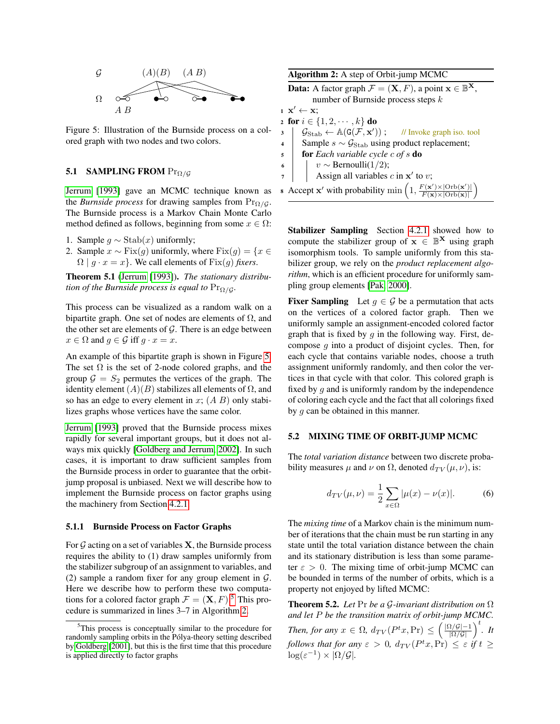<span id="page-7-1"></span>

Figure 5: Illustration of the Burnside process on a colored graph with two nodes and two colors.

### 5.1 SAMPLING FROM  $Pr_{\Omega/G}$

[Jerrum](#page-9-16) [\[1993\]](#page-9-16) gave an MCMC technique known as the *Burnside process* for drawing samples from  $Pr_{{Q}/{G}}$ . The Burnside process is a Markov Chain Monte Carlo method defined as follows, beginning from some  $x \in \Omega$ :

- 1. Sample  $g \sim$  Stab $(x)$  uniformly;
- 2. Sample  $x \sim Fix(g)$  uniformly, where  $Fix(g) = \{x \in$  $\Omega | g \cdot x = x$ . We call elements of Fix(g) *fixers*.

Theorem 5.1 [\(Jerrum](#page-9-16) [\[1993\]](#page-9-16)). *The stationary distribution of the Burnside process is equal to*  $Pr_{\Omega/G}$ *.* 

This process can be visualized as a random walk on a bipartite graph. One set of nodes are elements of  $\Omega$ , and the other set are elements of  $G$ . There is an edge between  $x \in \Omega$  and  $g \in \mathcal{G}$  iff  $g \cdot x = x$ .

An example of this bipartite graph is shown in Figure [5.](#page-7-1) The set  $\Omega$  is the set of 2-node colored graphs, and the group  $\mathcal{G} = S_2$  permutes the vertices of the graph. The identity element  $(A)(B)$  stabilizes all elements of  $\Omega$ , and so has an edge to every element in x;  $(A \ B)$  only stabilizes graphs whose vertices have the same color.

[Jerrum](#page-9-16) [\[1993\]](#page-9-16) proved that the Burnside process mixes rapidly for several important groups, but it does not always mix quickly [\[Goldberg and Jerrum, 2002\]](#page-9-28). In such cases, it is important to draw sufficient samples from the Burnside process in order to guarantee that the orbitjump proposal is unbiased. Next we will describe how to implement the Burnside process on factor graphs using the machinery from Section [4.2.1.](#page-4-1)

#### 5.1.1 Burnside Process on Factor Graphs

For  $G$  acting on a set of variables  $X$ , the Burnside process requires the ability to (1) draw samples uniformly from the stabilizer subgroup of an assignment to variables, and (2) sample a random fixer for any group element in  $G$ . Here we describe how to perform these two computations for a colored factor graph  $\mathcal{F} = (\mathbf{X}, F)$ .<sup>[5](#page-7-2)</sup> This procedure is summarized in lines 3–7 in Algorithm [2.](#page-7-0)

| Algorithm 2: A step of Orbit-jump MCMC |  |  |  |  |  |
|----------------------------------------|--|--|--|--|--|
|----------------------------------------|--|--|--|--|--|

**Data:** A factor graph  $\mathcal{F} = (\mathbf{X}, F)$ , a point  $\mathbf{x} \in \mathbb{B}^{\mathbf{X}}$ , number of Burnside process steps k

<span id="page-7-0"></span> $1 \mathbf{x}' \leftarrow \mathbf{x};$ 2 for  $i \in \{1, 2, \dots, k\}$  do  $\mathcal{G}_{\text{Stab}} \leftarrow \mathbb{A}(\texttt{G}(\mathcal{F}, \textbf{x}'))$ )) ; // Invoke graph iso. tool 4 Sample  $s \sim \mathcal{G}_{\text{Stab}}$  using product replacement; <sup>5</sup> for *Each variable cycle* c *of* s do 6 |  $v$  ∼ Bernoulli(1/2);  $\tau$  | Assign all variables c in  $x'$  to v; **8** Accept **x'** with probability  $\min\left(1, \frac{F(\mathbf{x}') \times |\text{Orb}(\mathbf{x}')|}{F(\mathbf{x}) \times |\text{Orb}(\mathbf{x})|}\right)$  $F(\mathbf{x}) \times |\text{Orb}(\mathbf{x})|$  $\setminus$ 

Stabilizer Sampling Section [4.2.1](#page-4-1) showed how to compute the stabilizer group of  $x \in \mathbb{B}^{X}$  using graph isomorphism tools. To sample uniformly from this stabilizer group, we rely on the *product replacement algorithm*, which is an efficient procedure for uniformly sampling group elements [\[Pak, 2000\]](#page-9-30).

**Fixer Sampling** Let  $g \in \mathcal{G}$  be a permutation that acts on the vertices of a colored factor graph. Then we uniformly sample an assignment-encoded colored factor graph that is fixed by  $q$  in the following way. First, decompose  $g$  into a product of disjoint cycles. Then, for each cycle that contains variable nodes, choose a truth assignment uniformly randomly, and then color the vertices in that cycle with that color. This colored graph is fixed by  $g$  and is uniformly random by the independence of coloring each cycle and the fact that all colorings fixed by  $g$  can be obtained in this manner.

#### 5.2 MIXING TIME OF ORBIT-JUMP MCMC

The *total variation distance* between two discrete probability measures  $\mu$  and  $\nu$  on  $\Omega$ , denoted  $d_{TV}(\mu, \nu)$ , is:

$$
d_{TV}(\mu, \nu) = \frac{1}{2} \sum_{x \in \Omega} |\mu(x) - \nu(x)|.
$$
 (6)

The *mixing time* of a Markov chain is the minimum number of iterations that the chain must be run starting in any state until the total variation distance between the chain and its stationary distribution is less than some parameter  $\varepsilon > 0$ . The mixing time of orbit-jump MCMC can be bounded in terms of the number of orbits, which is a property not enjoyed by lifted MCMC:

<span id="page-7-3"></span>Theorem 5.2. *Let* Pr *be a* G*-invariant distribution on* Ω *and let* P *be the transition matrix of orbit-jump MCMC. Then, for any*  $x \in \Omega$ ,  $d_{TV}(P^t x, \text{Pr}) \leq \left(\frac{|\Omega/G|-1}{|\Omega/G|}\right)^t$ . *It follows that for any*  $\varepsilon > 0$ ,  $d_{TV}(P^t x, \text{Pr}) \leq \varepsilon$  *if*  $t \geq$  $\log(\varepsilon^{-1}) \times |\Omega/\mathcal{G}|$ .

<span id="page-7-2"></span><sup>&</sup>lt;sup>5</sup>This process is conceptually similar to the procedure for randomly sampling orbits in the Pólya-theory setting described by [Goldberg](#page-9-29) [\[2001\]](#page-9-29), but this is the first time that this procedure is applied directly to factor graphs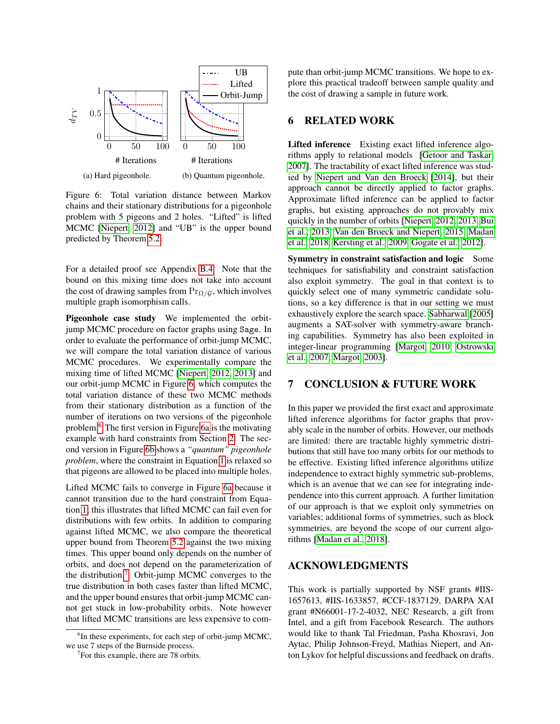<span id="page-8-0"></span>

Figure 6: Total variation distance between Markov chains and their stationary distributions for a pigeonhole problem with 5 pigeons and 2 holes. "Lifted" is lifted MCMC [\[Niepert, 2012\]](#page-9-8) and "UB" is the upper bound predicted by Theorem [5.2.](#page-7-3)

For a detailed proof see Appendix [B.4.](#page-0-0) Note that the bound on this mixing time does not take into account the cost of drawing samples from  $Pr_{\Omega/G}$ , which involves multiple graph isomorphism calls.

Pigeonhole case study We implemented the orbitjump MCMC procedure on factor graphs using Sage. In order to evaluate the performance of orbit-jump MCMC, we will compare the total variation distance of various MCMC procedures. We experimentally compare the mixing time of lifted MCMC [\[Niepert, 2012,](#page-9-8) [2013\]](#page-9-9) and our orbit-jump MCMC in Figure [6,](#page-8-0) which computes the total variation distance of these two MCMC methods from their stationary distribution as a function of the number of iterations on two versions of the pigeonhole problem.[6](#page-8-1) The first version in Figure [6a](#page-8-0) is the motivating example with hard constraints from Section [2.](#page-1-3) The second version in Figure [6b](#page-8-0) shows a *"quantum" pigeonhole problem*, where the constraint in Equation [1](#page-1-1) is relaxed so that pigeons are allowed to be placed into multiple holes.

Lifted MCMC fails to converge in Figure [6a](#page-8-0) because it cannot transition due to the hard constraint from Equation [1;](#page-1-1) this illustrates that lifted MCMC can fail even for distributions with few orbits. In addition to comparing against lifted MCMC, we also compare the theoretical upper bound from Theorem [5.2](#page-7-3) against the two mixing times. This upper bound only depends on the number of orbits, and does not depend on the parameterization of the distribution.[7](#page-8-2) Orbit-jump MCMC converges to the true distribution in both cases faster than lifted MCMC, and the upper bound ensures that orbit-jump MCMC cannot get stuck in low-probability orbits. Note however that lifted MCMC transitions are less expensive to compute than orbit-jump MCMC transitions. We hope to explore this practical tradeoff between sample quality and the cost of drawing a sample in future work.

# 6 RELATED WORK

Lifted inference Existing exact lifted inference algorithms apply to relational models [\[Getoor and Taskar,](#page-9-6) [2007\]](#page-9-6). The tractability of exact lifted inference was studied by [Niepert and Van den Broeck](#page-9-5) [\[2014\]](#page-9-5), but their approach cannot be directly applied to factor graphs. Approximate lifted inference can be applied to factor graphs, but existing approaches do not provably mix quickly in the number of orbits [\[Niepert, 2012,](#page-9-8) [2013,](#page-9-9) [Bui](#page-9-10) [et al., 2013,](#page-9-10) [Van den Broeck and Niepert, 2015,](#page-9-31) [Madan](#page-9-32) [et al., 2018,](#page-9-32) [Kersting et al., 2009,](#page-9-7) [Gogate et al., 2012\]](#page-9-33).

Symmetry in constraint satisfaction and logic Some techniques for satisfiability and constraint satisfaction also exploit symmetry. The goal in that context is to quickly select one of many symmetric candidate solutions, so a key difference is that in our setting we must exhaustively explore the search space. [Sabharwal](#page-9-13) [\[2005\]](#page-9-13) augments a SAT-solver with symmetry-aware branching capabilities. Symmetry has also been exploited in integer-linear programming [\[Margot, 2010,](#page-9-34) [Ostrowski](#page-9-35) [et al., 2007,](#page-9-35) [Margot, 2003\]](#page-9-36).

# 7 CONCLUSION & FUTURE WORK

In this paper we provided the first exact and approximate lifted inference algorithms for factor graphs that provably scale in the number of orbits. However, our methods are limited: there are tractable highly symmetric distributions that still have too many orbits for our methods to be effective. Existing lifted inference algorithms utilize independence to extract highly symmetric sub-problems, which is an avenue that we can see for integrating independence into this current approach. A further limitation of our approach is that we exploit only symmetries on variables; additional forms of symmetries, such as block symmetries, are beyond the scope of our current algorithms [\[Madan et al., 2018\]](#page-9-32).

### ACKNOWLEDGMENTS

This work is partially supported by NSF grants #IIS-1657613, #IIS-1633857, #CCF-1837129, DARPA XAI grant #N66001-17-2-4032, NEC Research, a gift from Intel, and a gift from Facebook Research. The authors would like to thank Tal Friedman, Pasha Khosravi, Jon Aytac, Philip Johnson-Freyd, Mathias Niepert, and Anton Lykov for helpful discussions and feedback on drafts.

<span id="page-8-1"></span><sup>&</sup>lt;sup>6</sup>In these experiments, for each step of orbit-jump MCMC, we use 7 steps of the Burnside process.

<span id="page-8-2"></span><sup>&</sup>lt;sup>7</sup>For this example, there are 78 orbits.